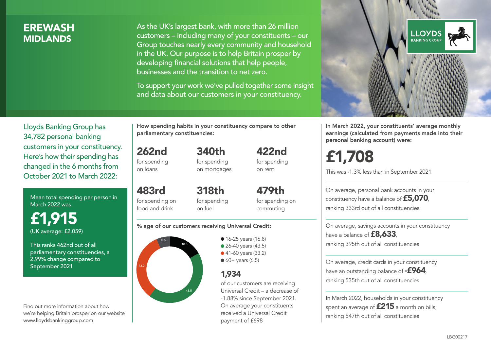### **FREWASH MIDI ANDS**

As the UK's largest bank, with more than 26 million customers – including many of your constituents – our Group touches nearly every community and household in the UK. Our purpose is to help Britain prosper by developing financial solutions that help people, businesses and the transition to net zero.

To support your work we've pulled together some insight and data about our customers in your constituency.



Mean total spending per person in March 2022 was

£1,915 (UK average: £2,059)

This ranks 462nd out of all parliamentary constituencies, a 2.99% change compared to September 2021

Find out more information about how we're helping Britain prosper on our website www.lloydsbankinggroup.com

How spending habits in your constituency compare to other parliamentary constituencies:

262nd for spending on loans

483rd

food and drink

for spending on mortgages

340th

422nd for spending on rent

for spending on 318th for spending on fuel

479th for spending on commuting

#### % age of our customers receiving Universal Credit:



• 16-25 years (16.8) • 26-40 years (43.5) ● 41-60 years (33.2)  $60+$  years (6.5)

### 1,934

of our customers are receiving Universal Credit – a decrease of -1.88% since September 2021. On average your constituents received a Universal Credit payment of £698



In March 2022, your constituents' average monthly earnings (calculated from payments made into their personal banking account) were:

# £1,708

This was -1.3% less than in September 2021

On average, personal bank accounts in your constituency have a balance of £5,070, ranking 333rd out of all constituencies

On average, savings accounts in your constituency have a balance of **£8,633**, ranking 395th out of all constituencies

On average, credit cards in your constituency have an outstanding balance of  $-$ £964, ranking 535th out of all constituencies

In March 2022, households in your constituency spent an average of £215 a month on bills, ranking 547th out of all constituencies